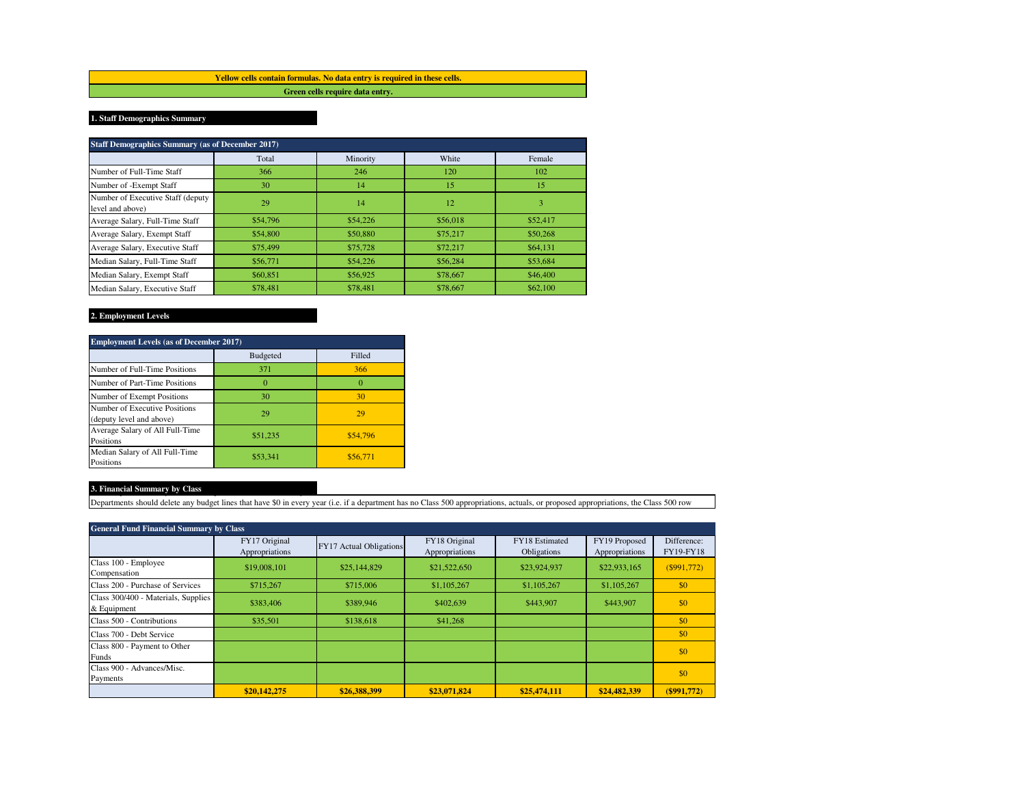**Yellow cells contain formulas. No data entry is required in these cells. Green cells require data entry.**

## **1. Staff Demographics Summary**

| <b>Staff Demographics Summary (as of December 2017)</b> |          |          |          |          |  |  |  |
|---------------------------------------------------------|----------|----------|----------|----------|--|--|--|
|                                                         | Total    | Minority | White    | Female   |  |  |  |
| Number of Full-Time Staff                               | 366      | 246      | 120      | 102      |  |  |  |
| Number of -Exempt Staff                                 | 30       | 14       | 15       | 15       |  |  |  |
| Number of Executive Staff (deputy<br>level and above)   | 29       | 14       | 12       | 3        |  |  |  |
| Average Salary, Full-Time Staff                         | \$54,796 | \$54,226 | \$56,018 | \$52,417 |  |  |  |
| Average Salary, Exempt Staff                            | \$54,800 | \$50,880 | \$75,217 | \$50,268 |  |  |  |
| Average Salary, Executive Staff                         | \$75,499 | \$75,728 | \$72,217 | \$64,131 |  |  |  |
| Median Salary, Full-Time Staff                          | \$56,771 | \$54,226 | \$56,284 | \$53,684 |  |  |  |
| Median Salary, Exempt Staff                             | \$60,851 | \$56,925 | \$78,667 | \$46,400 |  |  |  |
| Median Salary, Executive Staff                          | \$78,481 | \$78,481 | \$78,667 | \$62,100 |  |  |  |

## **2. Employment Levels**

| <b>Employment Levels (as of December 2017)</b>            |                 |          |  |  |  |
|-----------------------------------------------------------|-----------------|----------|--|--|--|
|                                                           | <b>Budgeted</b> | Filled   |  |  |  |
| Number of Full-Time Positions                             | 371             | 366      |  |  |  |
| Number of Part-Time Positions                             | $_{0}$          |          |  |  |  |
| Number of Exempt Positions                                | 30              | 30       |  |  |  |
| Number of Executive Positions<br>(deputy level and above) | 29              | 29       |  |  |  |
| Average Salary of All Full-Time<br>Positions              | \$51,235        | \$54,796 |  |  |  |
| Median Salary of All Full-Time<br>Positions               | \$53,341        | \$56,771 |  |  |  |

## **3. Financial Summary by Class**  $\overline{\phantom{a}}$

Departments should delete any budget lines that have \$0 in every year (i.e. if a department has no Class 500 appropriations, actuals, or proposed appropriations, the Class 500 row

| <b>General Fund Financial Summary by Class</b>     |                                 |                                |                                 |                               |                                 |                                 |
|----------------------------------------------------|---------------------------------|--------------------------------|---------------------------------|-------------------------------|---------------------------------|---------------------------------|
|                                                    | FY17 Original<br>Appropriations | <b>FY17 Actual Obligations</b> | FY18 Original<br>Appropriations | FY18 Estimated<br>Obligations | FY19 Proposed<br>Appropriations | Difference:<br><b>FY19-FY18</b> |
| Class 100 - Employee<br>Compensation               | \$19,008,101                    | \$25,144,829                   | \$21,522,650                    | \$23,924,937                  | \$22,933,165                    | (S991,772)                      |
| Class 200 - Purchase of Services                   | \$715.267                       | \$715,006                      | \$1,105,267                     | \$1,105,267                   | \$1,105,267                     | \$0                             |
| Class 300/400 - Materials, Supplies<br>& Equipment | \$383,406                       | \$389,946                      | \$402,639                       | \$443,907                     | \$443,907                       | \$0                             |
| Class 500 - Contributions                          | \$35,501                        | \$138,618                      | \$41,268                        |                               |                                 | \$0                             |
| Class 700 - Debt Service                           |                                 |                                |                                 |                               |                                 | \$0                             |
| Class 800 - Payment to Other<br>Funds              |                                 |                                |                                 |                               |                                 | \$0                             |
| Class 900 - Advances/Misc.<br>Payments             |                                 |                                |                                 |                               |                                 | \$0                             |
|                                                    | \$20,142,275                    | \$26,388,399                   | \$23,071,824                    | \$25,474,111                  | \$24,482,339                    | $($ \$991,772)                  |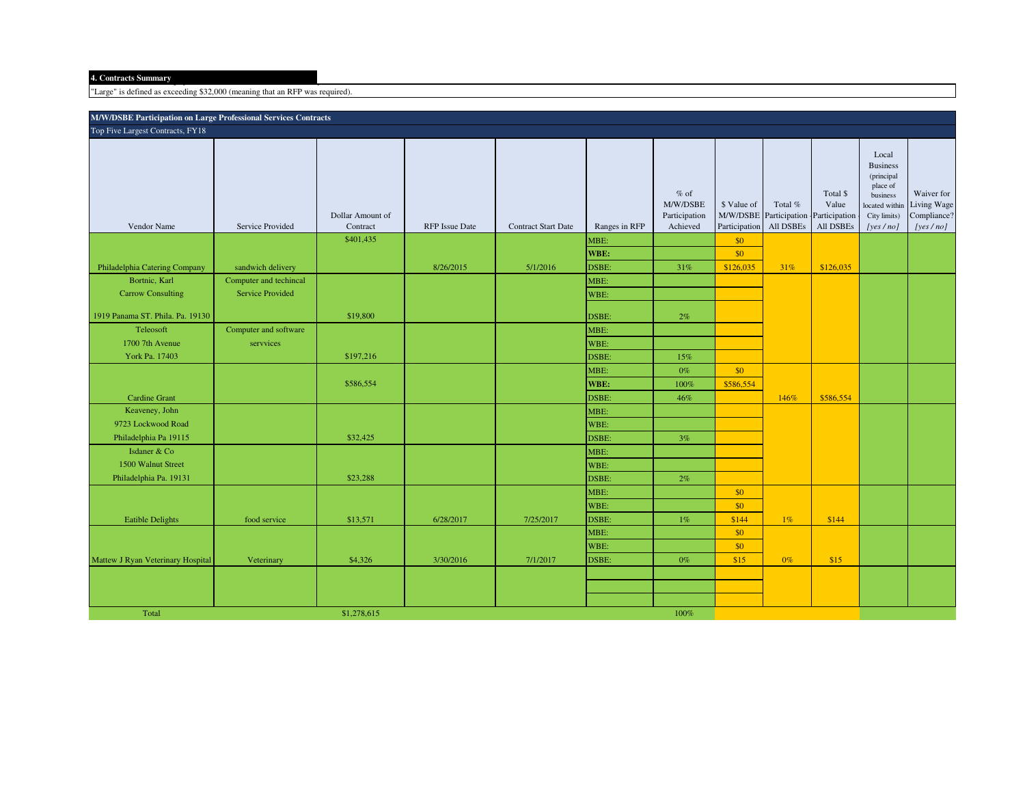"Large" is defined as exceeding \$32,000 (meaning that an RFP was required).

| <b>M/W/DSBE Participation on Large Professional Services Contracts</b> |                         |                                           |                       |                            |                               |                                                 |                                            |                                                |                                                 |                                                                                                                  |                                                      |
|------------------------------------------------------------------------|-------------------------|-------------------------------------------|-----------------------|----------------------------|-------------------------------|-------------------------------------------------|--------------------------------------------|------------------------------------------------|-------------------------------------------------|------------------------------------------------------------------------------------------------------------------|------------------------------------------------------|
| Top Five Largest Contracts, FY18                                       |                         |                                           |                       |                            |                               |                                                 |                                            |                                                |                                                 |                                                                                                                  |                                                      |
| Vendor Name                                                            | Service Provided        | Dollar Amount of<br>Contract<br>\$401,435 | <b>RFP</b> Issue Date | <b>Contract Start Date</b> | Ranges in RFP<br>MBE:<br>WBE: | $%$ of<br>M/W/DSBE<br>Participation<br>Achieved | \$ Value of<br>Participation<br>\$0<br>\$0 | Total %<br>M/W/DSBE Participation<br>All DSBEs | Total \$<br>Value<br>Participation<br>All DSBEs | Local<br><b>Business</b><br>(principal<br>place of<br>business<br>located within<br>City limits)<br>[yes $/$ no] | Waiver for<br>Living Wage<br>Compliance?<br>[yes/no] |
| Philadelphia Catering Company                                          | sandwich delivery       |                                           | 8/26/2015             | 5/1/2016                   | DSBE:                         | 31%                                             | \$126,035                                  | 31%                                            | \$126,035                                       |                                                                                                                  |                                                      |
| Bortnic, Karl                                                          | Computer and techincal  |                                           |                       |                            | MBE:                          |                                                 |                                            |                                                |                                                 |                                                                                                                  |                                                      |
| <b>Carrow Consulting</b>                                               | <b>Service Provided</b> |                                           |                       |                            | WBE:                          |                                                 |                                            |                                                |                                                 |                                                                                                                  |                                                      |
| 1919 Panama ST. Phila. Pa. 19130                                       |                         | \$19,800                                  |                       |                            | DSBE:                         | 2%                                              |                                            |                                                |                                                 |                                                                                                                  |                                                      |
| Teleosoft                                                              | Computer and software   |                                           |                       |                            | MBE:                          |                                                 |                                            |                                                |                                                 |                                                                                                                  |                                                      |
| 1700 7th Avenue                                                        | servvices               |                                           |                       |                            | WBE:                          |                                                 |                                            |                                                |                                                 |                                                                                                                  |                                                      |
| York Pa. 17403                                                         |                         | \$197,216                                 |                       |                            | DSBE:                         | 15%                                             |                                            |                                                |                                                 |                                                                                                                  |                                                      |
|                                                                        |                         |                                           |                       |                            | MBE:                          | $0\%$                                           | \$0                                        |                                                |                                                 |                                                                                                                  |                                                      |
|                                                                        |                         | \$586,554                                 |                       |                            | WBE:                          | 100%                                            | \$586,554                                  |                                                |                                                 |                                                                                                                  |                                                      |
| <b>Cardine Grant</b>                                                   |                         |                                           |                       |                            | DSBE:                         | 46%                                             |                                            | 146%                                           | \$586,554                                       |                                                                                                                  |                                                      |
| Keaveney, John                                                         |                         |                                           |                       |                            | MBE:                          |                                                 |                                            |                                                |                                                 |                                                                                                                  |                                                      |
| 9723 Lockwood Road                                                     |                         |                                           |                       |                            | WBE:                          |                                                 |                                            |                                                |                                                 |                                                                                                                  |                                                      |
| Philadelphia Pa 19115                                                  |                         | \$32,425                                  |                       |                            | DSBE:                         | 3%                                              |                                            |                                                |                                                 |                                                                                                                  |                                                      |
| Isdaner & Co                                                           |                         |                                           |                       |                            | MBE:                          |                                                 |                                            |                                                |                                                 |                                                                                                                  |                                                      |
| 1500 Walnut Street                                                     |                         |                                           |                       |                            | WBE:                          |                                                 |                                            |                                                |                                                 |                                                                                                                  |                                                      |
| Philadelphia Pa. 19131                                                 |                         | \$23,288                                  |                       |                            | DSBE:                         | 2%                                              |                                            |                                                |                                                 |                                                                                                                  |                                                      |
|                                                                        |                         |                                           |                       |                            | MBE:                          |                                                 | \$0                                        |                                                |                                                 |                                                                                                                  |                                                      |
|                                                                        |                         |                                           |                       |                            | WBE:                          |                                                 | \$0                                        |                                                |                                                 |                                                                                                                  |                                                      |
| <b>Eatible Delights</b>                                                | food service            | \$13,571                                  | 6/28/2017             | 7/25/2017                  | DSBE:                         | 1%                                              | \$144                                      | $1\%$                                          | \$144                                           |                                                                                                                  |                                                      |
|                                                                        |                         |                                           |                       |                            | MBE:                          |                                                 | \$0                                        |                                                |                                                 |                                                                                                                  |                                                      |
|                                                                        |                         |                                           |                       |                            | WBE:                          |                                                 | \$0                                        |                                                |                                                 |                                                                                                                  |                                                      |
| Mattew J Ryan Veterinary Hospital                                      | Veterinary              | \$4,326                                   | 3/30/2016             | 7/1/2017                   | DSBE:                         | $0\%$                                           | \$15                                       | $0\%$                                          | \$15                                            |                                                                                                                  |                                                      |
|                                                                        |                         |                                           |                       |                            |                               |                                                 |                                            |                                                |                                                 |                                                                                                                  |                                                      |
|                                                                        |                         |                                           |                       |                            |                               |                                                 |                                            |                                                |                                                 |                                                                                                                  |                                                      |
| Total                                                                  |                         | \$1,278,615                               |                       |                            |                               | 100%                                            |                                            |                                                |                                                 |                                                                                                                  |                                                      |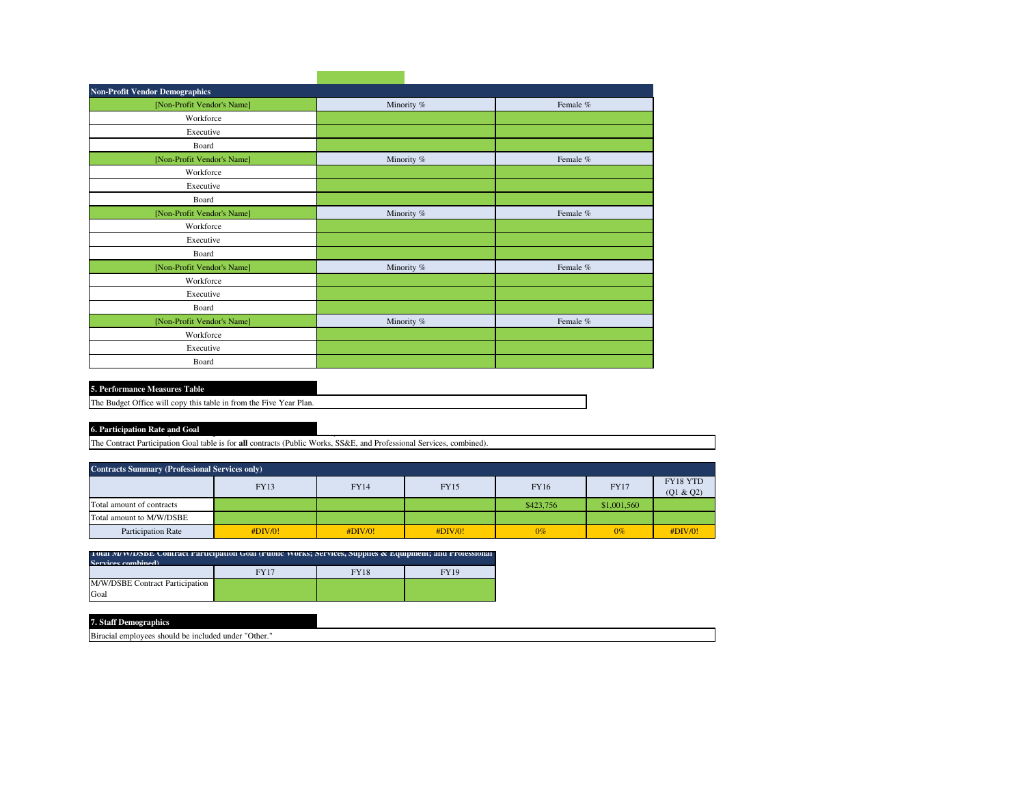| <b>Non-Profit Vendor Demographics</b> |            |          |
|---------------------------------------|------------|----------|
| [Non-Profit Vendor's Name]            | Minority % | Female % |
| Workforce                             |            |          |
| Executive                             |            |          |
| Board                                 |            |          |
| [Non-Profit Vendor's Name]            | Minority % | Female % |
| Workforce                             |            |          |
| Executive                             |            |          |
| Board                                 |            |          |
| [Non-Profit Vendor's Name]            | Minority % | Female % |
| Workforce                             |            |          |
| Executive                             |            |          |
| Board                                 |            |          |
| [Non-Profit Vendor's Name]            | Minority % | Female % |
| Workforce                             |            |          |
| Executive                             |            |          |
| Board                                 |            |          |
| [Non-Profit Vendor's Name]            | Minority % | Female % |
| Workforce                             |            |          |
| Executive                             |            |          |
| Board                                 |            |          |

| <b>5. Performance Measures Table.</b> |  |
|---------------------------------------|--|

The Budget Office will copy this table in from the Five Year Plan.

## **6. Participation Rate and Goal**

The Contract Participation Goal table is for **all** contracts (Public Works, SS&E, and Professional Services, combined).

| <b>Contracts Summary (Professional Services only)</b> |             |             |             |           |             |                       |  |
|-------------------------------------------------------|-------------|-------------|-------------|-----------|-------------|-----------------------|--|
|                                                       | <b>FY13</b> | <b>FY14</b> | <b>FY15</b> | FY16      | <b>FY17</b> | FY18 YTD<br>(Q1 & Q2) |  |
| Total amount of contracts                             |             |             |             | \$423,756 | \$1,001,560 |                       |  |
| Total amount to M/W/DSBE                              |             |             |             |           |             |                       |  |
| <b>Participation Rate</b>                             | #DIV/0!     | #DIV/0!     | #DIV/0!     | $0\%$     | $0\%$       | #DIV/0!               |  |

| Total IVI WIDSDE Contract Participation Goal (Public Works; Services, Supplies & Equipment; and Professional |             |             |             |  |  |  |  |
|--------------------------------------------------------------------------------------------------------------|-------------|-------------|-------------|--|--|--|--|
| Services combined)                                                                                           |             |             |             |  |  |  |  |
|                                                                                                              | <b>FY17</b> | <b>FY18</b> | <b>FY19</b> |  |  |  |  |
| M/W/DSBE Contract Participation                                                                              |             |             |             |  |  |  |  |
| Goal                                                                                                         |             |             |             |  |  |  |  |

| 7. Staff<br>Demographics                                            |  |
|---------------------------------------------------------------------|--|
| <b>Biracial</b><br>s should be included under "Other."<br>employees |  |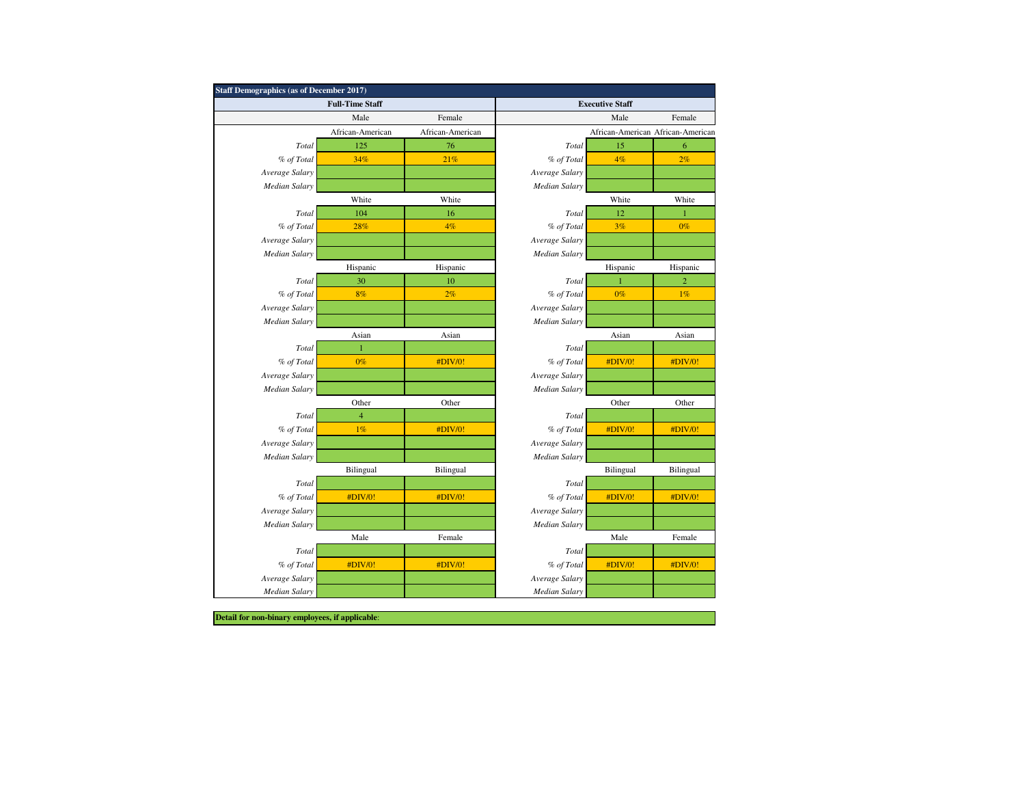|                      | <b>Staff Demographics (as of December 2017)</b> |                  |                      |                        |                                   |  |  |  |
|----------------------|-------------------------------------------------|------------------|----------------------|------------------------|-----------------------------------|--|--|--|
|                      | <b>Full-Time Staff</b>                          |                  |                      | <b>Executive Staff</b> |                                   |  |  |  |
|                      | Male                                            | Female           |                      | Male                   | Female                            |  |  |  |
|                      | African-American                                | African-American |                      |                        | African-American African-American |  |  |  |
| Total                | 125                                             | 76               | Total                | 15                     | 6                                 |  |  |  |
| % of Total           | 34%                                             | 21%              | % of Total           | 4%                     | 2%                                |  |  |  |
| Average Salary       |                                                 |                  | Average Salary       |                        |                                   |  |  |  |
| Median Salary        |                                                 |                  | <b>Median Salary</b> |                        |                                   |  |  |  |
|                      | White                                           | White            |                      | White                  | White                             |  |  |  |
| Total                | 104                                             | 16               | Total                | 12                     | 1                                 |  |  |  |
| % of Total           | 28%                                             | 4%               | % of Total           | 3%                     | $0\%$                             |  |  |  |
| Average Salary       |                                                 |                  | Average Salary       |                        |                                   |  |  |  |
| <b>Median Salary</b> |                                                 |                  | <b>Median Salary</b> |                        |                                   |  |  |  |
|                      | Hispanic                                        | Hispanic         |                      | Hispanic               | Hispanic                          |  |  |  |
| Total                | 30                                              | 10               | Total                | 1                      | $\overline{2}$                    |  |  |  |
| % of Total           | 8%                                              | 2%               | % of Total           | $0\%$                  | 1%                                |  |  |  |
| Average Salary       |                                                 |                  | Average Salary       |                        |                                   |  |  |  |
| Median Salary        |                                                 |                  | <b>Median Salary</b> |                        |                                   |  |  |  |
|                      | Asian                                           | Asian            |                      | Asian                  | Asian                             |  |  |  |
| Total                | $\mathbf{1}$                                    |                  | Total                |                        |                                   |  |  |  |
| % of Total           | $0\%$                                           | #DIV/0!          | % of Total           | #DIV/0!                | #DIV/0!                           |  |  |  |
| Average Salary       |                                                 |                  | Average Salary       |                        |                                   |  |  |  |
| Median Salary        |                                                 |                  | <b>Median Salary</b> |                        |                                   |  |  |  |
|                      | Other                                           | Other            |                      | Other                  | Other                             |  |  |  |
| Total                | 4                                               |                  | Total                |                        |                                   |  |  |  |
| % of Total           | 1%                                              | #DIV/0!          | % of Total           | #DIV/0!                | #DIV/0!                           |  |  |  |
| Average Salary       |                                                 |                  | Average Salary       |                        |                                   |  |  |  |
| Median Salary        |                                                 |                  | Median Salary        |                        |                                   |  |  |  |
|                      | Bilingual                                       | Bilingual        |                      | Bilingual              | Bilingual                         |  |  |  |
| Total                |                                                 |                  | Total                |                        |                                   |  |  |  |
| % of Total           | #DIV/0!                                         | #DIV/0!          | % of Total           | #DIV/0!                | #DIV/0!                           |  |  |  |
| Average Salary       |                                                 |                  | Average Salary       |                        |                                   |  |  |  |
| <b>Median Salary</b> |                                                 |                  | <b>Median Salary</b> |                        |                                   |  |  |  |
|                      | Male                                            | Female           |                      | Male                   | Female                            |  |  |  |
| Total                |                                                 |                  | Total                |                        |                                   |  |  |  |
| % of Total           | #DIV/0!                                         | #DIV/0!          | % of Total           | #DIV/0!                | #DIV/0!                           |  |  |  |
| Average Salary       |                                                 |                  | Average Salary       |                        |                                   |  |  |  |
| <b>Median Salary</b> |                                                 |                  | <b>Median Salary</b> |                        |                                   |  |  |  |

**Detail for non-binary employees, if applicable**: